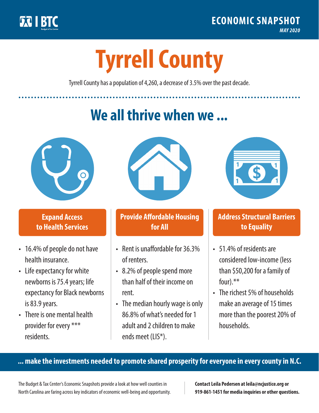

**1**

# **Tyrrell County**

Tyrrell County has a population of 4,260, a decrease of 3.5% over the past decade.

# **We all thrive when we ...**



**\$ <sup>1</sup>**

**\$ <sup>1</sup>**

#### **Expand Access to Health Services**

- 16.4% of people do not have health insurance.
- Life expectancy for white newborns is 75.4years; life expectancy for Black newborns is 83.9 years.
- There is one mental health provider for every \*\*\* residents.



## **Provide Affordable Housing for All**

- Rent is unaffordable for 36.3% of renters.
- 8.2% of people spend more than half of their income on rent.
- The median hourly wage is only 86.8% of what's needed for 1 adult and 2 children to make ends meet (LIS\*).



## **Address Structural Barriers to Equality**

- 51.4% of residents are considered low-income (less than \$50,200 for a family of four) $.**$
- The richest 5% of households make an average of 15 times more than the poorest 20% of households.

#### **... make the investments needed to promote shared prosperity for everyone in every county in N.C.**

The Budget & Tax Center's Economic Snapshots provide a look at how well counties in North Carolina are faring across key indicators of economic well-being and opportunity.